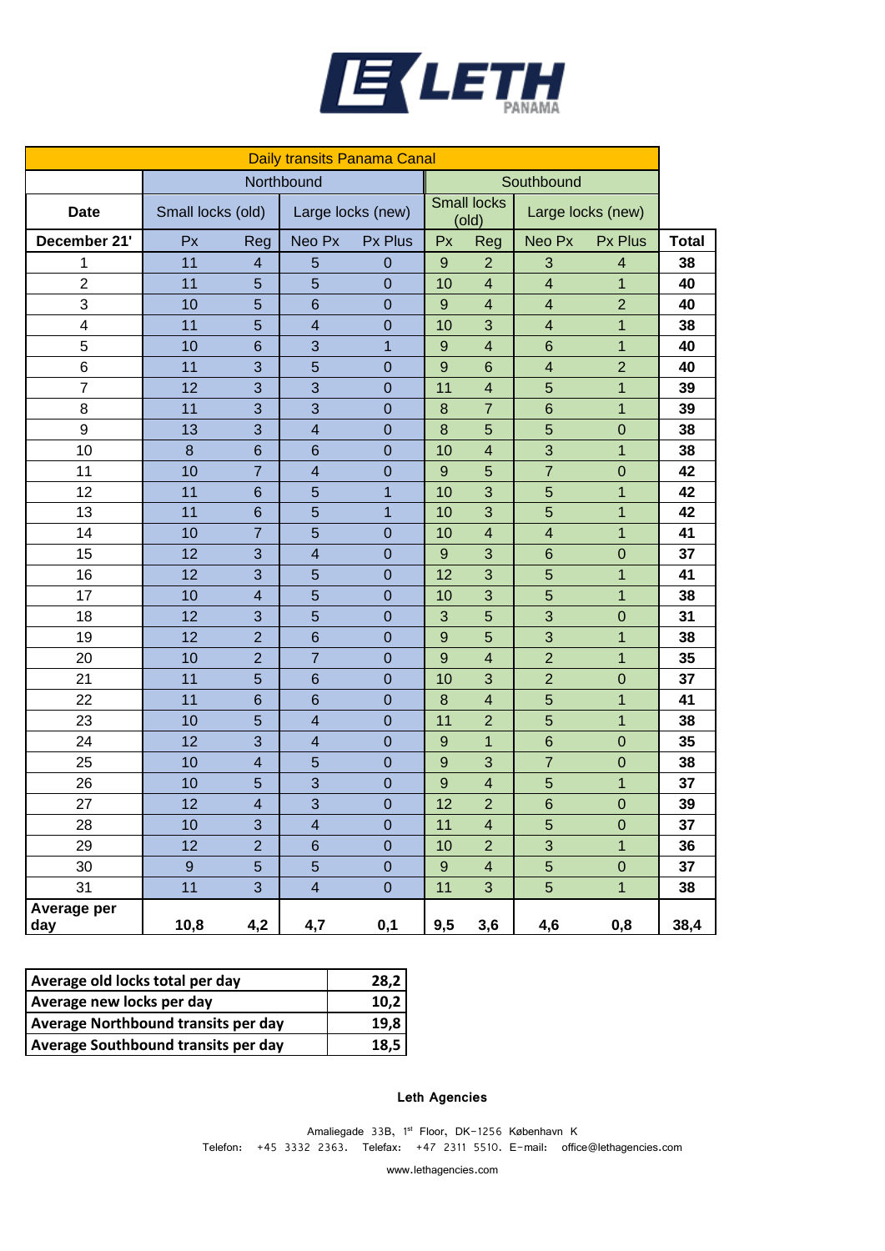

| Daily transits Panama Canal |                   |                         |                          |                   |                  |                             |                         |                   |              |
|-----------------------------|-------------------|-------------------------|--------------------------|-------------------|------------------|-----------------------------|-------------------------|-------------------|--------------|
|                             | Northbound        |                         |                          |                   | Southbound       |                             |                         |                   |              |
| <b>Date</b>                 | Small locks (old) |                         |                          | Large locks (new) |                  | <b>Small locks</b><br>(old) |                         | Large locks (new) |              |
| December 21'                | Px                | Reg                     | Neo Px                   | Px Plus           | Px               | Reg                         | Neo Px                  | Px Plus           | <b>Total</b> |
| 1                           | 11                | 4                       | 5                        | $\overline{0}$    | 9                | $\overline{c}$              | 3                       | 4                 | 38           |
| $\overline{c}$              | 11                | 5                       | 5                        | $\overline{0}$    | 10               | $\overline{\mathbf{4}}$     | $\overline{\mathbf{4}}$ | 1                 | 40           |
| 3                           | 10                | 5                       | $6\phantom{1}6$          | $\overline{0}$    | $\overline{9}$   | $\overline{\mathbf{4}}$     | $\overline{\mathbf{4}}$ | $\overline{2}$    | 40           |
| 4                           | 11                | 5                       | $\overline{\mathcal{A}}$ | $\mathbf 0$       | 10               | 3                           | $\overline{\mathbf{4}}$ | $\mathbf{1}$      | 38           |
| 5                           | 10                | 6                       | 3                        | $\overline{1}$    | $\overline{9}$   | $\overline{\mathbf{4}}$     | $6\phantom{1}$          | $\overline{1}$    | 40           |
| 6                           | 11                | 3                       | 5                        | $\overline{0}$    | 9                | 6                           | $\overline{\mathbf{4}}$ | $\overline{2}$    | 40           |
| $\overline{7}$              | 12                | 3                       | 3                        | $\overline{0}$    | 11               | $\overline{\mathbf{4}}$     | 5                       | 1                 | 39           |
| 8                           | 11                | 3                       | 3                        | $\overline{0}$    | 8                | $\overline{7}$              | $6\phantom{1}$          | 1                 | 39           |
| 9                           | 13                | 3                       | $\overline{\mathbf{4}}$  | $\mathbf 0$       | 8                | 5                           | 5                       | $\mathbf 0$       | 38           |
| 10                          | $\bf 8$           | $6\phantom{1}$          | $6\phantom{1}$           | $\mathbf 0$       | 10               | $\overline{\mathbf{4}}$     | 3                       | $\overline{1}$    | 38           |
| 11                          | 10                | $\overline{7}$          | $\overline{\mathbf{4}}$  | $\overline{0}$    | $\boldsymbol{9}$ | 5                           | $\overline{7}$          | $\mathbf 0$       | 42           |
| 12                          | 11                | $6\phantom{1}$          | 5                        | $\overline{1}$    | 10               | 3                           | 5                       | $\overline{1}$    | 42           |
| 13                          | 11                | $6\phantom{1}$          | 5                        | 1                 | 10               | 3                           | 5                       | $\mathbf 1$       | 42           |
| 14                          | 10                | $\overline{7}$          | 5                        | $\overline{0}$    | 10               | $\overline{\mathbf{4}}$     | $\overline{\mathbf{4}}$ | $\mathbf 1$       | 41           |
| 15                          | 12                | 3                       | $\overline{\mathbf{4}}$  | $\mathbf 0$       | $\overline{9}$   | 3                           | $\,$ 6 $\,$             | $\mathbf 0$       | 37           |
| 16                          | 12                | 3                       | 5                        | $\mathbf 0$       | 12               | 3                           | 5                       | $\overline{1}$    | 41           |
| 17                          | 10                | $\overline{\mathbf{4}}$ | 5                        | $\overline{0}$    | 10               | 3                           | 5                       | $\mathbf 1$       | 38           |
| 18                          | 12                | 3                       | 5                        | $\overline{0}$    | 3                | 5                           | 3                       | $\mathbf 0$       | 31           |
| 19                          | 12                | $\overline{2}$          | $6\phantom{1}$           | $\overline{0}$    | $\overline{9}$   | 5                           | 3                       | 1                 | 38           |
| 20                          | 10                | $\overline{2}$          | $\overline{7}$           | $\overline{0}$    | 9                | $\overline{\mathbf{4}}$     | $\overline{2}$          | 1                 | 35           |
| 21                          | 11                | 5                       | $6\phantom{1}6$          | $\mathbf 0$       | 10               | 3                           | $\overline{2}$          | $\mathbf 0$       | 37           |
| 22                          | 11                | $6\phantom{1}$          | $6\phantom{1}6$          | $\mathbf 0$       | $\bf 8$          | $\overline{\mathbf{4}}$     | 5                       | $\overline{1}$    | 41           |
| 23                          | 10                | 5                       | $\overline{\mathbf{4}}$  | $\overline{0}$    | 11               | $\overline{2}$              | 5                       | $\overline{1}$    | 38           |
| 24                          | 12                | 3                       | $\overline{4}$           | $\overline{0}$    | $\overline{9}$   | $\overline{1}$              | $6\phantom{1}$          | $\mathbf 0$       | 35           |
| 25                          | 10                | $\overline{4}$          | 5                        | $\mathbf 0$       | $\overline{9}$   | 3                           | $\overline{7}$          | $\mathbf 0$       | 38           |
| 26                          | 10                | 5                       | 3                        | $\mathbf 0$       | $\mathbf{9}$     | $\overline{\mathbf{4}}$     | 5                       | $\mathbf 1$       | 37           |
| 27                          | 12                | $\overline{4}$          | 3                        | $\overline{0}$    | 12               | $\overline{2}$              | $6\phantom{1}$          | $\mathbf 0$       | 39           |
| 28                          | 10                | 3                       | $\overline{\mathcal{A}}$ | $\mathbf 0$       | 11               | 4                           | 5                       | $\mathbf 0$       | 37           |
| 29                          | 12                | $\overline{2}$          | $6\phantom{1}$           | $\mathbf 0$       | 10               | $\overline{2}$              | 3                       | $\mathbf 1$       | 36           |
| 30                          | $\boldsymbol{9}$  | 5                       | 5                        | $\mathbf 0$       | $\overline{9}$   | $\overline{\mathbf{4}}$     | 5                       | $\mathbf 0$       | 37           |
| 31                          | 11                | 3                       | $\overline{\mathbf{4}}$  | $\mathbf 0$       | 11               | 3                           | 5                       | $\overline{1}$    | 38           |
| Average per<br><u>day</u>   | 10,8              | 4,2                     | 4,7                      | 0,1               | 9,5              | 3,6                         | 4,6                     | 0,8               | 38,4         |

| Average old locks total per day     | 28,2 |
|-------------------------------------|------|
| Average new locks per day           | 10.2 |
| Average Northbound transits per day | 19.8 |
| Average Southbound transits per day | 18.5 |
|                                     |      |

## **Leth Agencies**

Amaliegade 33B, 1st Floor, DK-1256 København K Telefon: +45 3332 2363. Telefax: +47 2311 5510. E-mail: office@lethagencies.com

www.lethagencies.com